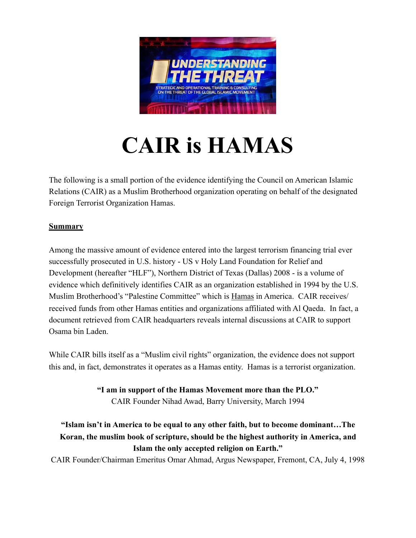

## **CAIR is HAMAS**

The following is a small portion of the evidence identifying the Council on American Islamic Relations (CAIR) as a Muslim Brotherhood organization operating on behalf of the designated Foreign Terrorist Organization Hamas.

## **Summary**

Among the massive amount of evidence entered into the largest terrorism financing trial ever successfully prosecuted in U.S. history - US v Holy Land Foundation for Relief and Development (hereafter "HLF"), Northern District of Texas (Dallas) 2008 - is a volume of evidence which definitively identifies CAIR as an organization established in 1994 by the U.S. Muslim Brotherhood's "Palestine Committee" which is Hamas in America. CAIR receives/ received funds from other Hamas entities and organizations affiliated with Al Qaeda. In fact, a document retrieved from CAIR headquarters reveals internal discussions at CAIR to support Osama bin Laden.

While CAIR bills itself as a "Muslim civil rights" organization, the evidence does not support this and, in fact, demonstrates it operates as a Hamas entity. Hamas is a terrorist organization.

> **"I am in support of the Hamas Movement more than the PLO."**  CAIR Founder Nihad Awad, Barry University, March 1994

## **"Islam isn't in America to be equal to any other faith, but to become dominant…The Koran, the muslim book of scripture, should be the highest authority in America, and Islam the only accepted religion on Earth."**

CAIR Founder/Chairman Emeritus Omar Ahmad, Argus Newspaper, Fremont, CA, July 4, 1998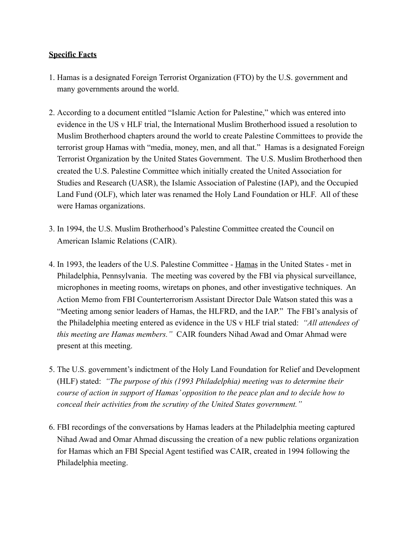## **Specific Facts**

- 1. Hamas is a designated Foreign Terrorist Organization (FTO) by the U.S. government and many governments around the world.
- 2. According to a document entitled "Islamic Action for Palestine," which was entered into evidence in the US v HLF trial, the International Muslim Brotherhood issued a resolution to Muslim Brotherhood chapters around the world to create Palestine Committees to provide the terrorist group Hamas with "media, money, men, and all that." Hamas is a designated Foreign Terrorist Organization by the United States Government. The U.S. Muslim Brotherhood then created the U.S. Palestine Committee which initially created the United Association for Studies and Research (UASR), the Islamic Association of Palestine (IAP), and the Occupied Land Fund (OLF), which later was renamed the Holy Land Foundation or HLF. All of these were Hamas organizations.
- 3. In 1994, the U.S. Muslim Brotherhood's Palestine Committee created the Council on American Islamic Relations (CAIR).
- 4. In 1993, the leaders of the U.S. Palestine Committee Hamas in the United States met in Philadelphia, Pennsylvania. The meeting was covered by the FBI via physical surveillance, microphones in meeting rooms, wiretaps on phones, and other investigative techniques. An Action Memo from FBI Counterterrorism Assistant Director Dale Watson stated this was a "Meeting among senior leaders of Hamas, the HLFRD, and the IAP." The FBI's analysis of the Philadelphia meeting entered as evidence in the US v HLF trial stated: *"All attendees of this meeting are Hamas members."* CAIR founders Nihad Awad and Omar Ahmad were present at this meeting.
- 5. The U.S. government's indictment of the Holy Land Foundation for Relief and Development (HLF) stated: *"The purpose of this (1993 Philadelphia) meeting was to determine their course of action in support of Hamas' opposition to the peace plan and to decide how to conceal their activities from the scrutiny of the United States government."*
- 6. FBI recordings of the conversations by Hamas leaders at the Philadelphia meeting captured Nihad Awad and Omar Ahmad discussing the creation of a new public relations organization for Hamas which an FBI Special Agent testified was CAIR, created in 1994 following the Philadelphia meeting.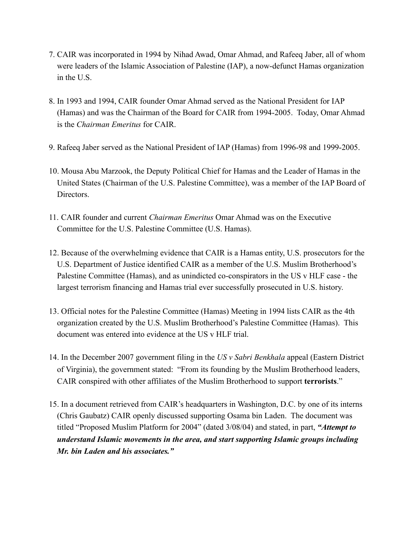- 7. CAIR was incorporated in 1994 by Nihad Awad, Omar Ahmad, and Rafeeq Jaber, all of whom were leaders of the Islamic Association of Palestine (IAP), a now-defunct Hamas organization in the U.S.
- 8. In 1993 and 1994, CAIR founder Omar Ahmad served as the National President for IAP (Hamas) and was the Chairman of the Board for CAIR from 1994-2005. Today, Omar Ahmad is the *Chairman Emeritus* for CAIR.
- 9. Rafeeq Jaber served as the National President of IAP (Hamas) from 1996-98 and 1999-2005.
- 10. Mousa Abu Marzook, the Deputy Political Chief for Hamas and the Leader of Hamas in the United States (Chairman of the U.S. Palestine Committee), was a member of the IAP Board of Directors.
- 11. CAIR founder and current *Chairman Emeritus* Omar Ahmad was on the Executive Committee for the U.S. Palestine Committee (U.S. Hamas).
- 12. Because of the overwhelming evidence that CAIR is a Hamas entity, U.S. prosecutors for the U.S. Department of Justice identified CAIR as a member of the U.S. Muslim Brotherhood's Palestine Committee (Hamas), and as unindicted co-conspirators in the US v HLF case - the largest terrorism financing and Hamas trial ever successfully prosecuted in U.S. history.
- 13. Official notes for the Palestine Committee (Hamas) Meeting in 1994 lists CAIR as the 4th organization created by the U.S. Muslim Brotherhood's Palestine Committee (Hamas). This document was entered into evidence at the US v HLF trial.
- 14. In the December 2007 government filing in the *US v Sabri Benkhala* appeal (Eastern District of Virginia), the government stated: "From its founding by the Muslim Brotherhood leaders, CAIR conspired with other affiliates of the Muslim Brotherhood to support **terrorists**."
- 15. In a document retrieved from CAIR's headquarters in Washington, D.C. by one of its interns (Chris Gaubatz) CAIR openly discussed supporting Osama bin Laden. The document was titled "Proposed Muslim Platform for 2004" (dated 3/08/04) and stated, in part, *"Attempt to understand Islamic movements in the area, and start supporting Islamic groups including Mr. bin Laden and his associates."*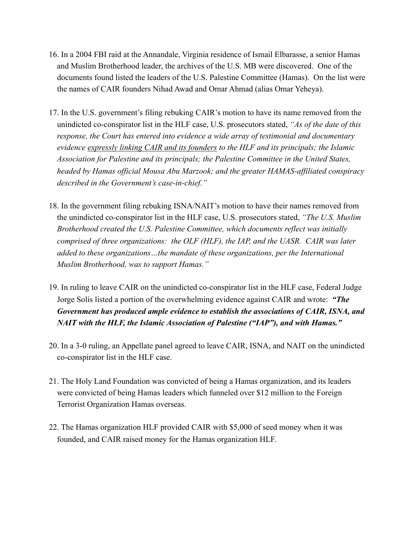- 16. In a 2004 FBI raid at the Annandale, Virginia residence of Ismail Elbarasse, a senior Hamas and Muslim Brotherhood leader, the archives of the U.S. MB were discovered. One of the documents found listed the leaders of the U.S. Palestine Committee (Hamas). On the list were the names of CAIR founders Nihad Awad and Omar Ahmad (alias Omar Yeheya).
- 17. In the U.S. government's filing rebuking CAIR's motion to have its name removed from the unindicted co-conspirator list in the HLF case, U.S. prosecutors stated, *"As of the date of this response, the Court has entered into evidence a wide array of testimonial and documentary evidence expressly linking CAIR and its founders to the HLF and its principals; the Islamic Association for Palestine and its principals; the Palestine Committee in the United States, headed by Hamas official Mousa Abu Marzook; and the greater HAMAS-affiliated conspiracy described in the Government's case-in-chief."*
- 18. In the government filing rebuking ISNA/NAIT's motion to have their names removed from the unindicted co-conspirator list in the HLF case, U.S. prosecutors stated, *"The U.S. Muslim Brotherhood created the U.S. Palestine Committee, which documents reflect was initially comprised of three organizations: the OLF (HLF), the IAP, and the UASR. CAIR was later added to these organizations…the mandate of these organizations, per the International Muslim Brotherhood, was to support Hamas."*
- 19. In ruling to leave CAIR on the unindicted co-conspirator list in the HLF case, Federal Judge Jorge Solis listed a portion of the overwhelming evidence against CAIR and wrote: *"The Government has produced ample evidence to establish the associations of CAIR, ISNA, and NAIT with the HLF, the Islamic Association of Palestine ("IAP"), and with Hamas."*
- 20. In a 3-0 ruling, an Appellate panel agreed to leave CAIR, ISNA, and NAIT on the unindicted co-conspirator list in the HLF case.
- 21. The Holy Land Foundation was convicted of being a Hamas organization, and its leaders were convicted of being Hamas leaders which funneled over \$12 million to the Foreign Terrorist Organization Hamas overseas.
- 22. The Hamas organization HLF provided CAIR with \$5,000 of seed money when it was founded, and CAIR raised money for the Hamas organization HLF.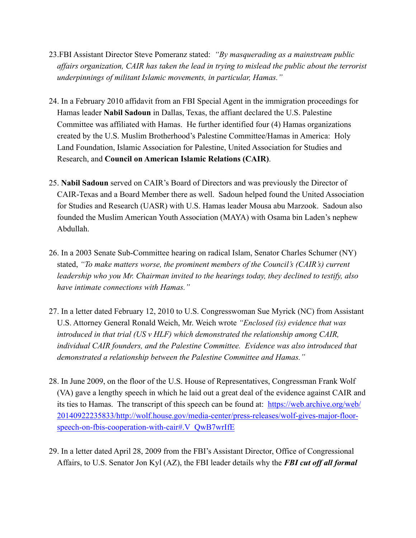- 23.FBI Assistant Director Steve Pomeranz stated: *"By masquerading as a mainstream public affairs organization, CAIR has taken the lead in trying to mislead the public about the terrorist underpinnings of militant Islamic movements, in particular, Hamas."*
- 24. In a February 2010 affidavit from an FBI Special Agent in the immigration proceedings for Hamas leader **Nabil Sadoun** in Dallas, Texas, the affiant declared the U.S. Palestine Committee was affiliated with Hamas. He further identified four (4) Hamas organizations created by the U.S. Muslim Brotherhood's Palestine Committee/Hamas in America: Holy Land Foundation, Islamic Association for Palestine, United Association for Studies and Research, and **Council on American Islamic Relations (CAIR)**.
- 25. **Nabil Sadoun** served on CAIR's Board of Directors and was previously the Director of CAIR-Texas and a Board Member there as well. Sadoun helped found the United Association for Studies and Research (UASR) with U.S. Hamas leader Mousa abu Marzook. Sadoun also founded the Muslim American Youth Association (MAYA) with Osama bin Laden's nephew Abdullah.
- 26. In a 2003 Senate Sub-Committee hearing on radical Islam, Senator Charles Schumer (NY) stated, *"To make matters worse, the prominent members of the Council's (CAIR's) current leadership who you Mr. Chairman invited to the hearings today, they declined to testify, also have intimate connections with Hamas."*
- 27. In a letter dated February 12, 2010 to U.S. Congresswoman Sue Myrick (NC) from Assistant U.S. Attorney General Ronald Weich, Mr. Weich wrote *"Enclosed (is) evidence that was introduced in that trial (US v HLF) which demonstrated the relationship among CAIR, individual CAIR founders, and the Palestine Committee. Evidence was also introduced that demonstrated a relationship between the Palestine Committee and Hamas."*
- 28. In June 2009, on the floor of the U.S. House of Representatives, Congressman Frank Wolf (VA) gave a lengthy speech in which he laid out a great deal of the evidence against CAIR and its ties to Hamas. The transcript of this speech can be found at: [https://web.archive.org/web/](https://web.archive.org/web/20140922235833/http://wolf.house.gov/media-center/press-releases/wolf-gives-major-floor-speech-on-fbis-cooperation-with-cair%2523.V_QwB7wrIfE) [20140922235833/http://wolf.house.gov/media-center/press-releases/wolf-gives-major-floor](https://web.archive.org/web/20140922235833/http://wolf.house.gov/media-center/press-releases/wolf-gives-major-floor-speech-on-fbis-cooperation-with-cair%2523.V_QwB7wrIfE)[speech-on-fbis-cooperation-with-cair#.V\\_QwB7wrIfE](https://web.archive.org/web/20140922235833/http://wolf.house.gov/media-center/press-releases/wolf-gives-major-floor-speech-on-fbis-cooperation-with-cair%2523.V_QwB7wrIfE)
- 29. In a letter dated April 28, 2009 from the FBI's Assistant Director, Office of Congressional Affairs, to U.S. Senator Jon Kyl (AZ), the FBI leader details why the *FBI cut off all formal*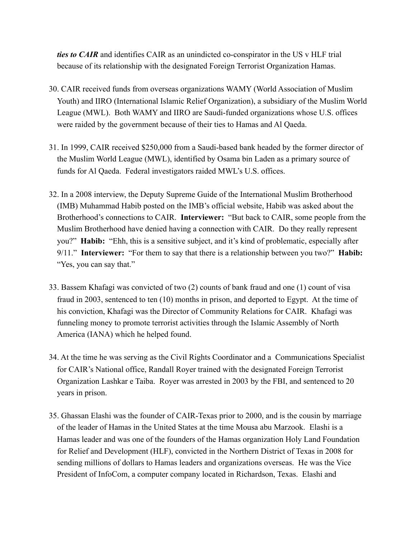*ties to CAIR* and identifies CAIR as an unindicted co-conspirator in the US v HLF trial because of its relationship with the designated Foreign Terrorist Organization Hamas.

- 30. CAIR received funds from overseas organizations WAMY (World Association of Muslim Youth) and IIRO (International Islamic Relief Organization), a subsidiary of the Muslim World League (MWL). Both WAMY and IIRO are Saudi-funded organizations whose U.S. offices were raided by the government because of their ties to Hamas and Al Qaeda.
- 31. In 1999, CAIR received \$250,000 from a Saudi-based bank headed by the former director of the Muslim World League (MWL), identified by Osama bin Laden as a primary source of funds for Al Qaeda. Federal investigators raided MWL's U.S. offices.
- 32. In a 2008 interview, the Deputy Supreme Guide of the International Muslim Brotherhood (IMB) Muhammad Habib posted on the IMB's official website, Habib was asked about the Brotherhood's connections to CAIR. **Interviewer:** "But back to CAIR, some people from the Muslim Brotherhood have denied having a connection with CAIR. Do they really represent you?" **Habib:** "Ehh, this is a sensitive subject, and it's kind of problematic, especially after 9/11." **Interviewer:** "For them to say that there is a relationship between you two?" **Habib:** "Yes, you can say that."
- 33. Bassem Khafagi was convicted of two (2) counts of bank fraud and one (1) count of visa fraud in 2003, sentenced to ten (10) months in prison, and deported to Egypt. At the time of his conviction, Khafagi was the Director of Community Relations for CAIR. Khafagi was funneling money to promote terrorist activities through the Islamic Assembly of North America (IANA) which he helped found.
- 34. At the time he was serving as the Civil Rights Coordinator and a Communications Specialist for CAIR's National office, Randall Royer trained with the designated Foreign Terrorist Organization Lashkar e Taiba. Royer was arrested in 2003 by the FBI, and sentenced to 20 years in prison.
- 35. Ghassan Elashi was the founder of CAIR-Texas prior to 2000, and is the cousin by marriage of the leader of Hamas in the United States at the time Mousa abu Marzook. Elashi is a Hamas leader and was one of the founders of the Hamas organization Holy Land Foundation for Relief and Development (HLF), convicted in the Northern District of Texas in 2008 for sending millions of dollars to Hamas leaders and organizations overseas. He was the Vice President of InfoCom, a computer company located in Richardson, Texas. Elashi and